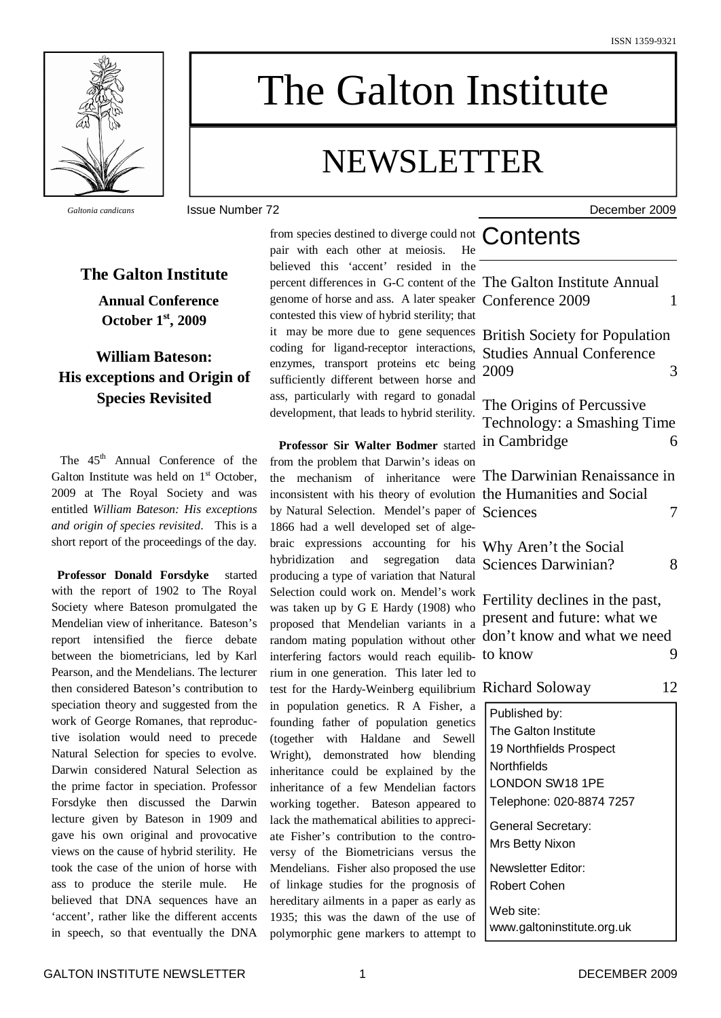

# The Galton Institute

# NEWSLETTER

*Galtonia candicans* Issue Number 72 December 2009

## **The Galton Institute**

**Annual Conference October 1 st , 2009**

# **William Bateson: His exceptions and Origin of Species Revisited**

The 45<sup>th</sup> Annual Conference of the Galton Institute was held on  $1<sup>st</sup>$  October, 2009 at The Royal Society and was entitled *William Bateson: His exceptions and origin of species revisited*. This is a short report of the proceedings of the day.

**Professor Donald Forsdyke** started with the report of 1902 to The Royal Society where Bateson promulgated the Mendelian view of inheritance. Bateson's report intensified the fierce debate between the biometricians, led by Karl Pearson, and the Mendelians. The lecturer then considered Bateson's contribution to speciation theory and suggested from the work of George Romanes, that reproductive isolation would need to precede Natural Selection for species to evolve. Darwin considered Natural Selection as the prime factor in speciation. Professor Forsdyke then discussed the Darwin lecture given by Bateson in 1909 and gave his own original and provocative views on the cause of hybrid sterility. He took the case of the union of horse with ass to produce the sterile mule. He believed that DNA sequences have an 'accent', rather like the different accents in speech, so that eventually the DNA

from species destined to diverge could not  $Contents$ pair with each other at meiosis. He believed this 'accent' resided in th percent differences in G-C content of the genome of horse and ass. A later speaker contested this view of hybrid sterility; that it may be more due to gene sequence coding for ligand-receptor interaction enzymes, transport proteins etc being sufficiently different between horse an ass, particularly with regard to gonada development, that leads to hybrid sterility

**Professor Sir Walter Bodmer** starte from the problem that Darwin's ideas on the mechanism of inheritance were inconsistent with his theory of evolutic by Natural Selection. Mendel's paper of 1866 had a well developed set of algebraic expressions accounting for h hybridization and segregation da producing a type of variation that Natura Selection could work on. Mendel's wor was taken up by  $G \to$  Hardy (1908) wh proposed that Mendelian variants in random mating population without otherinterfering factors would reach equili rium in one generation. This later led test for the Hardy-Weinberg equilibrium in population genetics. R A Fisher, founding father of population genetic (together with Haldane and Sewe Wright), demonstrated how blending inheritance could be explained by the inheritance of a few Mendelian factor working together. Bateson appeared lack the mathematical abilities to apprec ate Fisher's contribution to the contro versy of the Biometricians versus the Mendelians. Fisher also proposed the use of linkage studies for the prognosis of hereditary ailments in a paper as early a 1935; this was the dawn of the use of polymorphic gene markers to attempt

| ie<br>ie<br>er<br>at                  | The Galton Institute Annual<br>Conference 2009                                                                                 | 1  |
|---------------------------------------|--------------------------------------------------------------------------------------------------------------------------------|----|
| 2S<br>S,<br>ıg<br>ıd                  | <b>British Society for Population</b><br><b>Studies Annual Conference</b><br>2009                                              | 3  |
| al<br>y.<br>ed.                       | The Origins of Percussive<br>Technology: a Smashing Time<br>in Cambridge                                                       | 6  |
| m<br>re<br>'n<br>of<br>e-             | The Darwinian Renaissance in<br>the Humanities and Social<br>Sciences                                                          | 7  |
| is<br>ta<br>al                        | Why Aren't the Social<br><b>Sciences Darwinian?</b>                                                                            | 8  |
| :k<br>IO<br>a<br>er<br>b-             | Fertility declines in the past,<br>present and future: what we<br>don't know and what we need<br>to know                       | 9  |
| to<br>m                               | <b>Richard Soloway</b>                                                                                                         | 12 |
| a<br>cs<br>ŀI<br>ıg<br>ıe<br>rs<br>to | Published by:<br>The Galton Institute<br>19 Northfields Prospect<br>Northfields<br>LONDON SW18 1PE<br>Telephone: 020-8874 7257 |    |
| i-<br>0-<br>ıe                        | General Secretary:<br>Mrs Betty Nixon                                                                                          |    |
| se<br>эf                              | Newsletter Editor:<br><b>Robert Cohen</b>                                                                                      |    |
| as<br>эf<br>to                        | Web site:<br>www.galtoninstitute.org.uk                                                                                        |    |
|                                       |                                                                                                                                |    |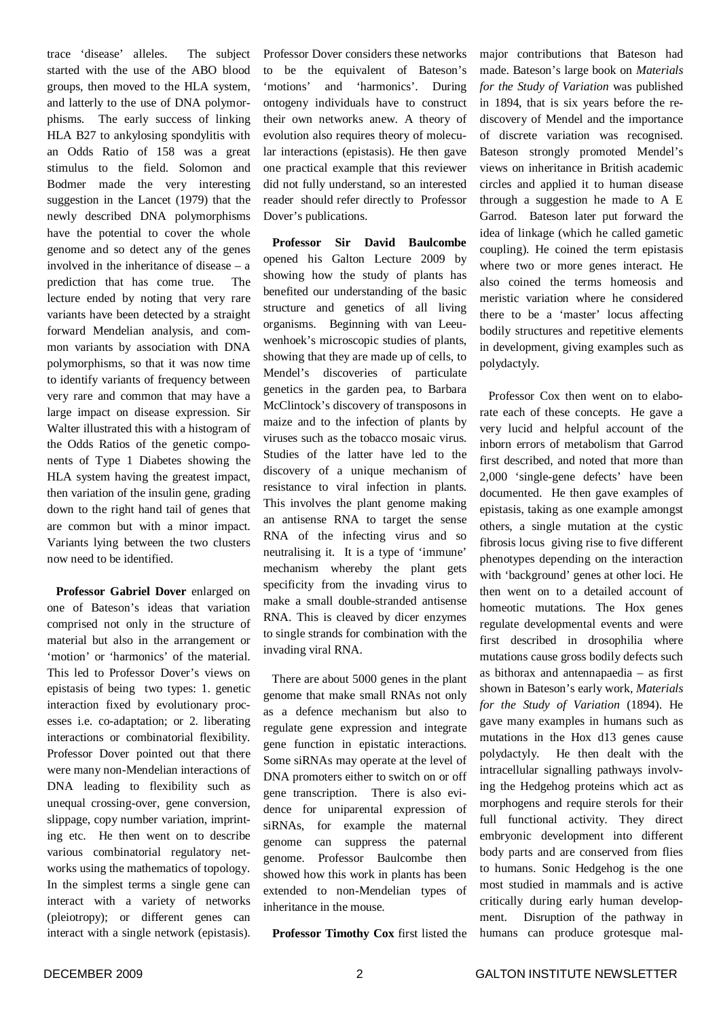trace 'disease' alleles. The subject started with the use of the ABO blood groups, then moved to the HLA system, and latterly to the use of DNA polymorphisms. The early success of linking HLA B27 to ankylosing spondylitis with an Odds Ratio of 158 was a great stimulus to the field. Solomon and Bodmer made the very interesting suggestion in the Lancet (1979) that the newly described DNA polymorphisms have the potential to cover the whole genome and so detect any of the genes involved in the inheritance of disease – a prediction that has come true. The lecture ended by noting that very rare variants have been detected by a straight forward Mendelian analysis, and common variants by association with DNA polymorphisms, so that it was now time to identify variants of frequency between very rare and common that may have a large impact on disease expression. Sir Walter illustrated this with a histogram of the Odds Ratios of the genetic components of Type 1 Diabetes showing the HLA system having the greatest impact, then variation of the insulin gene, grading down to the right hand tail of genes that are common but with a minor impact. Variants lying between the two clusters now need to be identified.

**Professor Gabriel Dover** enlarged on one of Bateson's ideas that variation comprised not only in the structure of material but also in the arrangement or 'motion' or 'harmonics' of the material. This led to Professor Dover's views on epistasis of being two types: 1. genetic interaction fixed by evolutionary processes i.e. co-adaptation; or 2. liberating interactions or combinatorial flexibility. Professor Dover pointed out that there were many non-Mendelian interactions of DNA leading to flexibility such as unequal crossing-over, gene conversion, slippage, copy number variation, imprinting etc. He then went on to describe various combinatorial regulatory networks using the mathematics of topology. In the simplest terms a single gene can interact with a variety of networks (pleiotropy); or different genes can interact with a single network (epistasis).

Professor Dover considers these networks to be the equivalent of Bateson's 'motions' and 'harmonics'. During ontogeny individuals have to construct their own networks anew. A theory of evolution also requires theory of molecular interactions (epistasis). He then gave one practical example that this reviewer did not fully understand, so an interested reader should refer directly to Professor Dover's publications.

**Professor Sir David Baulcombe** opened his Galton Lecture 2009 by showing how the study of plants has benefited our understanding of the basic structure and genetics of all living organisms. Beginning with van Leeuwenhoek's microscopic studies of plants, showing that they are made up of cells, to Mendel's discoveries of particulate genetics in the garden pea, to Barbara McClintock's discovery of transposons in maize and to the infection of plants by viruses such as the tobacco mosaic virus. Studies of the latter have led to the discovery of a unique mechanism of resistance to viral infection in plants. This involves the plant genome making an antisense RNA to target the sense RNA of the infecting virus and so neutralising it. It is a type of 'immune' mechanism whereby the plant gets specificity from the invading virus to make a small double-stranded antisense RNA. This is cleaved by dicer enzymes to single strands for combination with the invading viral RNA.

There are about 5000 genes in the plant genome that make small RNAs not only as a defence mechanism but also to regulate gene expression and integrate gene function in epistatic interactions. Some siRNAs may operate at the level of DNA promoters either to switch on or off gene transcription. There is also evidence for uniparental expression of siRNAs, for example the maternal genome can suppress the paternal genome. Professor Baulcombe then showed how this work in plants has been extended to non-Mendelian types of inheritance in the mouse.

**Professor Timothy Cox** first listed the

major contributions that Bateson had made. Bateson's large book on *Materials for the Study of Variation* was published in 1894, that is six years before the rediscovery of Mendel and the importance of discrete variation was recognised. Bateson strongly promoted Mendel's views on inheritance in British academic circles and applied it to human disease through a suggestion he made to A E Garrod. Bateson later put forward the idea of linkage (which he called gametic coupling). He coined the term epistasis where two or more genes interact. He also coined the terms homeosis and meristic variation where he considered there to be a 'master' locus affecting bodily structures and repetitive elements in development, giving examples such as polydactyly.

Professor Cox then went on to elaborate each of these concepts. He gave a very lucid and helpful account of the inborn errors of metabolism that Garrod first described, and noted that more than 2,000 'single-gene defects' have been documented. He then gave examples of epistasis, taking as one example amongst others, a single mutation at the cystic fibrosis locus giving rise to five different phenotypes depending on the interaction with 'background' genes at other loci. He then went on to a detailed account of homeotic mutations. The Hox genes regulate developmental events and were first described in drosophilia where mutations cause gross bodily defects such as bithorax and antennapaedia – as first shown in Bateson's early work, *Materials for the Study of Variation* (1894). He gave many examples in humans such as mutations in the Hox d13 genes cause polydactyly. He then dealt with the intracellular signalling pathways involving the Hedgehog proteins which act as morphogens and require sterols for their full functional activity. They direct embryonic development into different body parts and are conserved from flies to humans. Sonic Hedgehog is the one most studied in mammals and is active critically during early human development. Disruption of the pathway in humans can produce grotesque mal-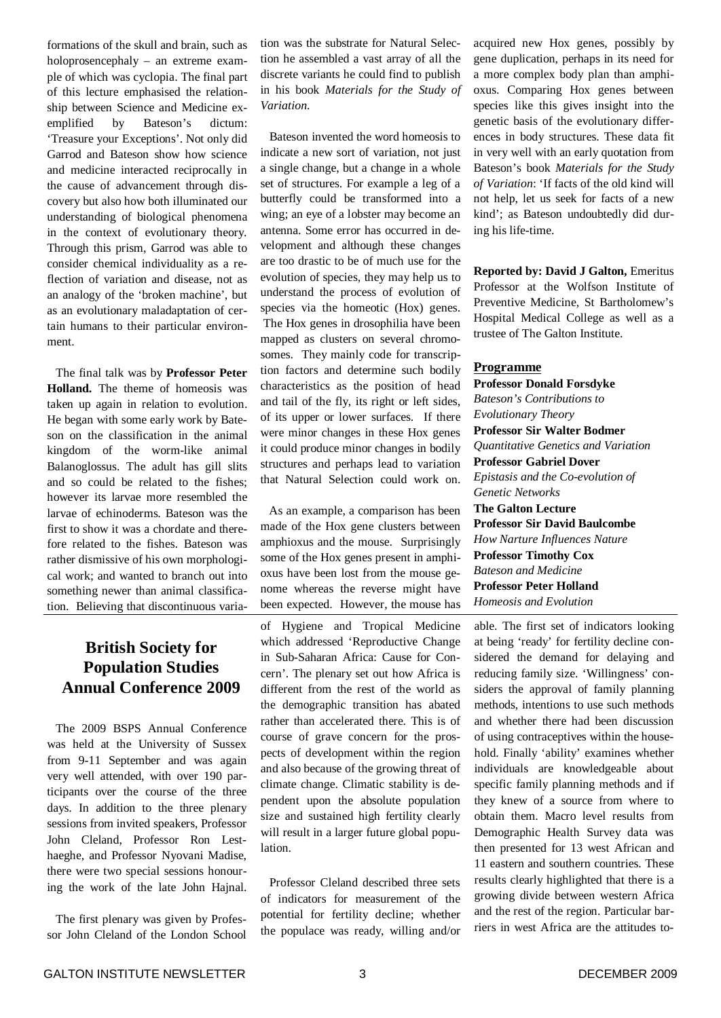formations of the skull and brain, such as holoprosencephaly – an extreme example of which was cyclopia. The final part of this lecture emphasised the relationship between Science and Medicine exemplified by Bateson's dictum: 'Treasure your Exceptions'. Not only did Garrod and Bateson show how science and medicine interacted reciprocally in the cause of advancement through discovery but also how both illuminated our understanding of biological phenomena in the context of evolutionary theory. Through this prism, Garrod was able to consider chemical individuality as a reflection of variation and disease, not as an analogy of the 'broken machine', but as an evolutionary maladaptation of certain humans to their particular environment.

The final talk was by **Professor Peter Holland.** The theme of homeosis was taken up again in relation to evolution. He began with some early work by Bateson on the classification in the animal kingdom of the worm-like animal Balanoglossus. The adult has gill slits and so could be related to the fishes; however its larvae more resembled the larvae of echinoderms. Bateson was the first to show it was a chordate and therefore related to the fishes. Bateson was rather dismissive of his own morphological work; and wanted to branch out into something newer than animal classification. Believing that discontinuous varia-

# **British Society for Population Studies Annual Conference 2009**

The 2009 BSPS Annual Conference was held at the University of Sussex from 9-11 September and was again very well attended, with over 190 participants over the course of the three days. In addition to the three plenary sessions from invited speakers, Professor John Cleland, Professor Ron Lesthaeghe, and Professor Nyovani Madise, there were two special sessions honouring the work of the late John Hajnal.

The first plenary was given by Professor John Cleland of the London School tion was the substrate for Natural Selection he assembled a vast array of all the discrete variants he could find to publish in his book *Materials for the Study of Variation*.

Bateson invented the word homeosis to indicate a new sort of variation, not just a single change, but a change in a whole set of structures. For example a leg of a butterfly could be transformed into a wing; an eye of a lobster may become an antenna. Some error has occurred in development and although these changes are too drastic to be of much use for the evolution of species, they may help us to understand the process of evolution of species via the homeotic (Hox) genes. The Hox genes in drosophilia have been mapped as clusters on several chromosomes. They mainly code for transcription factors and determine such bodily characteristics as the position of head and tail of the fly, its right or left sides, of its upper or lower surfaces. If there were minor changes in these Hox genes it could produce minor changes in bodily structures and perhaps lead to variation that Natural Selection could work on.

As an example, a comparison has been made of the Hox gene clusters between amphioxus and the mouse. Surprisingly some of the Hox genes present in amphioxus have been lost from the mouse genome whereas the reverse might have been expected. However, the mouse has

of Hygiene and Tropical Medicine which addressed 'Reproductive Change in Sub-Saharan Africa: Cause for Concern'. The plenary set out how Africa is different from the rest of the world as the demographic transition has abated rather than accelerated there. This is of course of grave concern for the prospects of development within the region and also because of the growing threat of climate change. Climatic stability is dependent upon the absolute population size and sustained high fertility clearly will result in a larger future global population.

Professor Cleland described three sets of indicators for measurement of the potential for fertility decline; whether the populace was ready, willing and/or acquired new Hox genes, possibly by gene duplication, perhaps in its need for a more complex body plan than amphioxus. Comparing Hox genes between species like this gives insight into the genetic basis of the evolutionary differences in body structures. These data fit in very well with an early quotation from Bateson's book *Materials for the Study of Variation*: 'If facts of the old kind will not help, let us seek for facts of a new kind'; as Bateson undoubtedly did during his life-time.

**Reported by: David J Galton,** Emeritus Professor at the Wolfson Institute of Preventive Medicine, St Bartholomew's Hospital Medical College as well as a trustee of The Galton Institute.

#### **Programme**

**Professor Donald Forsdyke** *Bateson's Contributions to Evolutionary Theory* **Professor Sir Walter Bodmer** *Quantitative Genetics and Variation* **Professor Gabriel Dover** *Epistasis and the Co-evolution of Genetic Networks* **The Galton Lecture Professor Sir David Baulcombe** *How Narture Influences Nature* **Professor Timothy Cox** *Bateson and Medicine* **Professor Peter Holland** *Homeosis and Evolution*

able. The first set of indicators looking at being 'ready' for fertility decline considered the demand for delaying and reducing family size. 'Willingness' considers the approval of family planning methods, intentions to use such methods and whether there had been discussion of using contraceptives within the household. Finally 'ability' examines whether individuals are knowledgeable about specific family planning methods and if they knew of a source from where to obtain them. Macro level results from Demographic Health Survey data was then presented for 13 west African and 11 eastern and southern countries. These results clearly highlighted that there is a growing divide between western Africa and the rest of the region. Particular barriers in west Africa are the attitudes to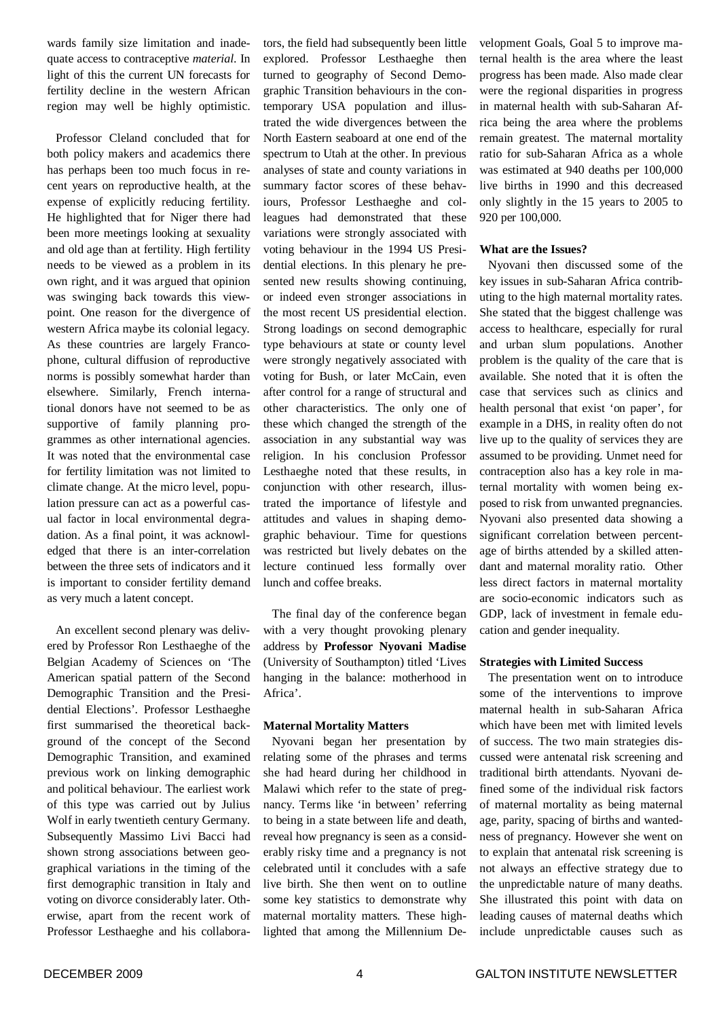wards family size limitation and inadequate access to contraceptive *material*. In light of this the current UN forecasts for fertility decline in the western African region may well be highly optimistic.

Professor Cleland concluded that for both policy makers and academics there has perhaps been too much focus in recent years on reproductive health, at the expense of explicitly reducing fertility. He highlighted that for Niger there had been more meetings looking at sexuality and old age than at fertility. High fertility needs to be viewed as a problem in its own right, and it was argued that opinion was swinging back towards this viewpoint. One reason for the divergence of western Africa maybe its colonial legacy. As these countries are largely Francophone, cultural diffusion of reproductive norms is possibly somewhat harder than elsewhere. Similarly, French international donors have not seemed to be as supportive of family planning programmes as other international agencies. It was noted that the environmental case for fertility limitation was not limited to climate change. At the micro level, population pressure can act as a powerful casual factor in local environmental degradation. As a final point, it was acknowledged that there is an inter-correlation between the three sets of indicators and it is important to consider fertility demand as very much a latent concept.

An excellent second plenary was delivered by Professor Ron Lesthaeghe of the Belgian Academy of Sciences on 'The American spatial pattern of the Second Demographic Transition and the Presidential Elections'. Professor Lesthaeghe first summarised the theoretical background of the concept of the Second Demographic Transition, and examined previous work on linking demographic and political behaviour. The earliest work of this type was carried out by Julius Wolf in early twentieth century Germany. Subsequently Massimo Livi Bacci had shown strong associations between geographical variations in the timing of the first demographic transition in Italy and voting on divorce considerably later. Otherwise, apart from the recent work of Professor Lesthaeghe and his collaborators, the field had subsequently been little explored. Professor Lesthaeghe then turned to geography of Second Demographic Transition behaviours in the contemporary USA population and illustrated the wide divergences between the North Eastern seaboard at one end of the spectrum to Utah at the other. In previous analyses of state and county variations in summary factor scores of these behaviours, Professor Lesthaeghe and colleagues had demonstrated that these variations were strongly associated with voting behaviour in the 1994 US Presidential elections. In this plenary he presented new results showing continuing, or indeed even stronger associations in the most recent US presidential election. Strong loadings on second demographic type behaviours at state or county level were strongly negatively associated with voting for Bush, or later McCain, even after control for a range of structural and other characteristics. The only one of these which changed the strength of the association in any substantial way was religion. In his conclusion Professor Lesthaeghe noted that these results, in conjunction with other research, illustrated the importance of lifestyle and attitudes and values in shaping demographic behaviour. Time for questions was restricted but lively debates on the lecture continued less formally over lunch and coffee breaks.

The final day of the conference began with a very thought provoking plenary address by **Professor Nyovani Madise** (University of Southampton) titled 'Lives hanging in the balance: motherhood in Africa'.

#### **Maternal Mortality Matters**

Nyovani began her presentation by relating some of the phrases and terms she had heard during her childhood in Malawi which refer to the state of pregnancy. Terms like 'in between' referring to being in a state between life and death, reveal how pregnancy is seen as a considerably risky time and a pregnancy is not celebrated until it concludes with a safe live birth. She then went on to outline some key statistics to demonstrate why maternal mortality matters. These highlighted that among the Millennium Development Goals, Goal 5 to improve maternal health is the area where the least progress has been made. Also made clear were the regional disparities in progress in maternal health with sub-Saharan Africa being the area where the problems remain greatest. The maternal mortality ratio for sub-Saharan Africa as a whole was estimated at 940 deaths per 100,000 live births in 1990 and this decreased only slightly in the 15 years to 2005 to 920 per 100,000.

#### **What are the Issues?**

Nyovani then discussed some of the key issues in sub-Saharan Africa contributing to the high maternal mortality rates. She stated that the biggest challenge was access to healthcare, especially for rural and urban slum populations. Another problem is the quality of the care that is available. She noted that it is often the case that services such as clinics and health personal that exist 'on paper', for example in a DHS, in reality often do not live up to the quality of services they are assumed to be providing. Unmet need for contraception also has a key role in maternal mortality with women being exposed to risk from unwanted pregnancies. Nyovani also presented data showing a significant correlation between percentage of births attended by a skilled attendant and maternal morality ratio. Other less direct factors in maternal mortality are socio-economic indicators such as GDP, lack of investment in female education and gender inequality.

#### **Strategies with Limited Success**

The presentation went on to introduce some of the interventions to improve maternal health in sub-Saharan Africa which have been met with limited levels of success. The two main strategies discussed were antenatal risk screening and traditional birth attendants. Nyovani defined some of the individual risk factors of maternal mortality as being maternal age, parity, spacing of births and wantedness of pregnancy. However she went on to explain that antenatal risk screening is not always an effective strategy due to the unpredictable nature of many deaths. She illustrated this point with data on leading causes of maternal deaths which include unpredictable causes such as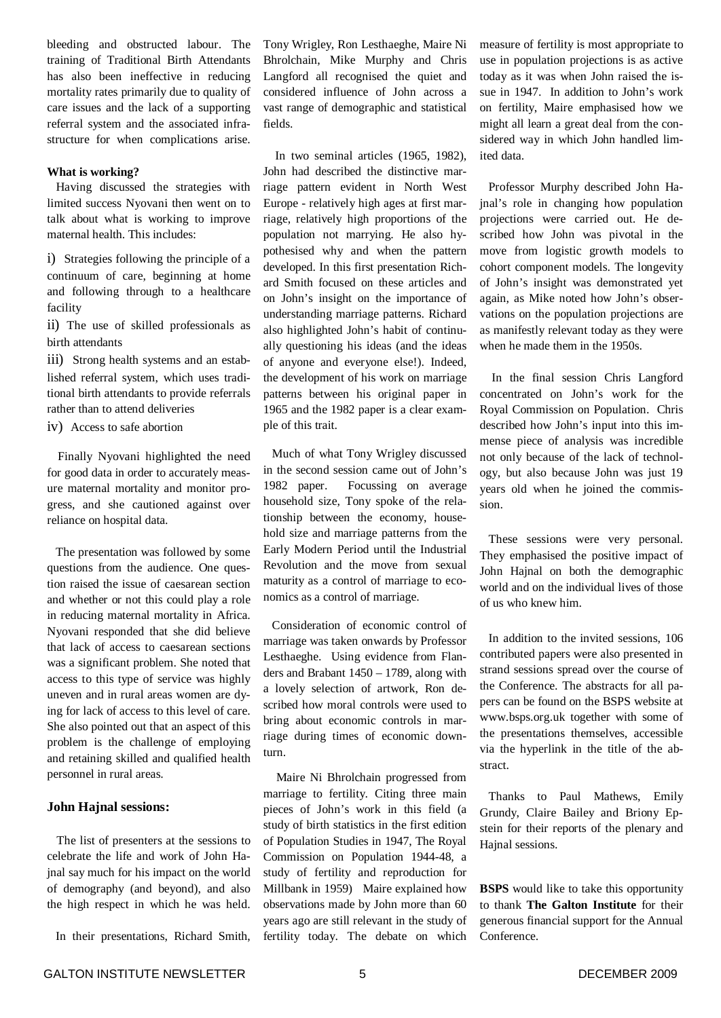bleeding and obstructed labour. The training of Traditional Birth Attendants has also been ineffective in reducing mortality rates primarily due to quality of care issues and the lack of a supporting referral system and the associated infrastructure for when complications arise.

#### **What is working?**

Having discussed the strategies with limited success Nyovani then went on to talk about what is working to improve maternal health. This includes:

i) Strategies following the principle of a continuum of care, beginning at home and following through to a healthcare facility

ii) The use of skilled professionals as birth attendants

iii) Strong health systems and an established referral system, which uses traditional birth attendants to provide referrals rather than to attend deliveries

iv) Access to safe abortion

Finally Nyovani highlighted the need for good data in order to accurately measure maternal mortality and monitor progress, and she cautioned against over reliance on hospital data.

The presentation was followed by some questions from the audience. One question raised the issue of caesarean section and whether or not this could play a role in reducing maternal mortality in Africa. Nyovani responded that she did believe that lack of access to caesarean sections was a significant problem. She noted that access to this type of service was highly uneven and in rural areas women are dying for lack of access to this level of care. She also pointed out that an aspect of this problem is the challenge of employing and retaining skilled and qualified health personnel in rural areas.

#### **John Hajnal sessions:**

The list of presenters at the sessions to celebrate the life and work of John Hajnal say much for his impact on the world of demography (and beyond), and also the high respect in which he was held.

In their presentations, Richard Smith,

Tony Wrigley, Ron Lesthaeghe, Maire Ni Bhrolchain, Mike Murphy and Chris Langford all recognised the quiet and considered influence of John across a vast range of demographic and statistical fields.

In two seminal articles (1965, 1982), John had described the distinctive marriage pattern evident in North West Europe - relatively high ages at first marriage, relatively high proportions of the population not marrying. He also hypothesised why and when the pattern developed. In this first presentation Richard Smith focused on these articles and on John's insight on the importance of understanding marriage patterns. Richard also highlighted John's habit of continually questioning his ideas (and the ideas of anyone and everyone else!). Indeed, the development of his work on marriage patterns between his original paper in 1965 and the 1982 paper is a clear example of this trait.

Much of what Tony Wrigley discussed in the second session came out of John's 1982 paper. Focussing on average household size, Tony spoke of the relationship between the economy, household size and marriage patterns from the Early Modern Period until the Industrial Revolution and the move from sexual maturity as a control of marriage to economics as a control of marriage.

Consideration of economic control of marriage was taken onwards by Professor Lesthaeghe. Using evidence from Flanders and Brabant 1450 – 1789, along with a lovely selection of artwork, Ron described how moral controls were used to bring about economic controls in marriage during times of economic downturn.

Maire Ni Bhrolchain progressed from marriage to fertility. Citing three main pieces of John's work in this field (a study of birth statistics in the first edition of Population Studies in 1947, The Royal Commission on Population 1944-48, a study of fertility and reproduction for Millbank in 1959) Maire explained how observations made by John more than 60 years ago are still relevant in the study of fertility today. The debate on which measure of fertility is most appropriate to use in population projections is as active today as it was when John raised the issue in 1947. In addition to John's work on fertility, Maire emphasised how we might all learn a great deal from the considered way in which John handled limited data.

Professor Murphy described John Hajnal's role in changing how population projections were carried out. He described how John was pivotal in the move from logistic growth models to cohort component models. The longevity of John's insight was demonstrated yet again, as Mike noted how John's observations on the population projections are as manifestly relevant today as they were when he made them in the 1950s.

In the final session Chris Langford concentrated on John's work for the Royal Commission on Population. Chris described how John's input into this immense piece of analysis was incredible not only because of the lack of technology, but also because John was just 19 years old when he joined the commission.

These sessions were very personal. They emphasised the positive impact of John Hajnal on both the demographic world and on the individual lives of those of us who knew him.

In addition to the invited sessions, 106 contributed papers were also presented in strand sessions spread over the course of the Conference. The abstracts for all papers can be found on the BSPS website at www.bsps.org.uk together with some of the presentations themselves, accessible via the hyperlink in the title of the abstract.

Thanks to Paul Mathews, Emily Grundy, Claire Bailey and Briony Epstein for their reports of the plenary and Hajnal sessions.

**BSPS** would like to take this opportunity to thank **The Galton Institute** for their generous financial support for the Annual Conference.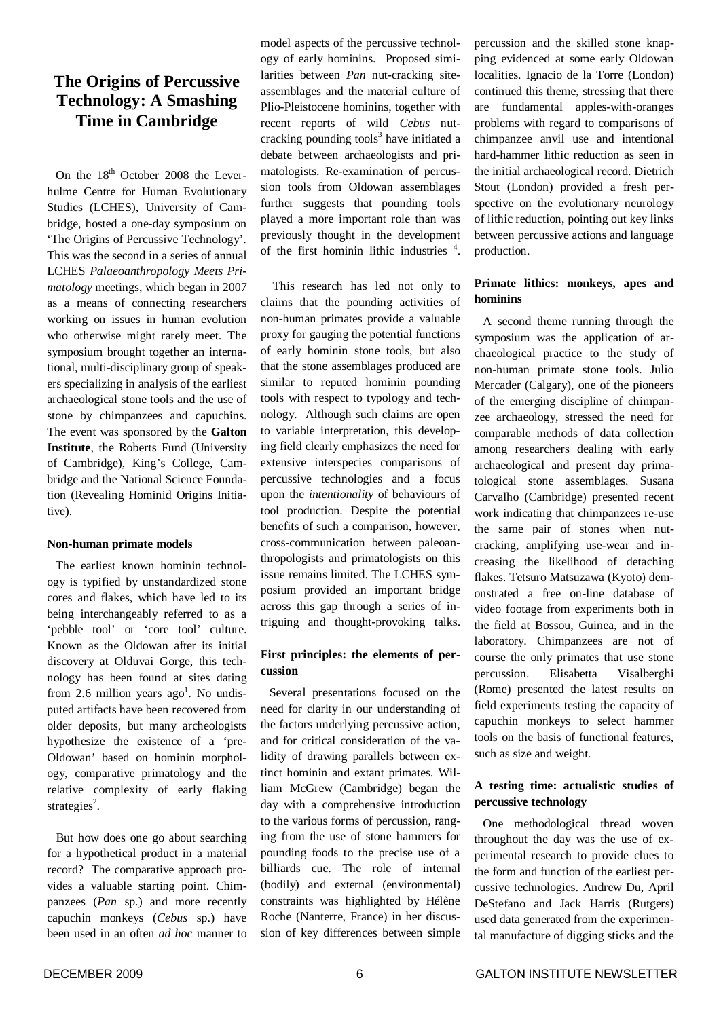# **The Origins of Percussive Technology: A Smashing Time in Cambridge**

On the 18<sup>th</sup> October 2008 the Leverhulme Centre for Human Evolutionary Studies (LCHES), University of Cambridge, hosted a one-day symposium on 'The Origins of Percussive Technology'. This was the second in a series of annual LCHES *Palaeoanthropology Meets Primatology* meetings, which began in 2007 as a means of connecting researchers working on issues in human evolution who otherwise might rarely meet. The symposium brought together an international, multi-disciplinary group of speakers specializing in analysis of the earliest archaeological stone tools and the use of stone by chimpanzees and capuchins. The event was sponsored by the **Galton Institute**, the Roberts Fund (University of Cambridge), King's College, Cambridge and the National Science Foundation (Revealing Hominid Origins Initiative).

#### **Non-human primate models**

The earliest known hominin technology is typified by unstandardized stone cores and flakes, which have led to its being interchangeably referred to as a 'pebble tool' or 'core tool' culture. Known as the Oldowan after its initial discovery at Olduvai Gorge, this technology has been found at sites dating from 2.6 million years  $ago<sup>1</sup>$ . No undisputed artifacts have been recovered from older deposits, but many archeologists hypothesize the existence of a 'pre-Oldowan' based on hominin morphology, comparative primatology and the relative complexity of early flaking strategies<sup>2</sup>.

But how does one go about searching for a hypothetical product in a material record? The comparative approach provides a valuable starting point. Chimpanzees (*Pan* sp.) and more recently capuchin monkeys (*Cebus* sp.) have been used in an often *ad hoc* manner to model aspects of the percussive technology of early hominins. Proposed similarities between *Pan* nut-cracking siteassemblages and the material culture of Plio-Pleistocene hominins, together with recent reports of wild *Cebus* nutcracking pounding tools 3 have initiated a debate between archaeologists and primatologists. Re-examination of percussion tools from Oldowan assemblages further suggests that pounding tools played a more important role than was previously thought in the development of the first hominin lithic industries 4 .

This research has led not only to claims that the pounding activities of non-human primates provide a valuable proxy for gauging the potential functions of early hominin stone tools, but also that the stone assemblages produced are similar to reputed hominin pounding tools with respect to typology and technology. Although such claims are open to variable interpretation, this developing field clearly emphasizes the need for extensive interspecies comparisons of percussive technologies and a focus upon the *intentionality* of behaviours of tool production. Despite the potential benefits of such a comparison, however, cross-communication between paleoanthropologists and primatologists on this issue remains limited. The LCHES symposium provided an important bridge across this gap through a series of intriguing and thought-provoking talks.

#### **First principles: the elements of percussion**

Several presentations focused on the need for clarity in our understanding of the factors underlying percussive action, and for critical consideration of the validity of drawing parallels between extinct hominin and extant primates. William McGrew (Cambridge) began the day with a comprehensive introduction to the various forms of percussion, ranging from the use of stone hammers for pounding foods to the precise use of a billiards cue. The role of internal (bodily) and external (environmental) constraints was highlighted by Hélène Roche (Nanterre, France) in her discussion of key differences between simple

percussion and the skilled stone knapping evidenced at some early Oldowan localities. Ignacio de la Torre (London) continued this theme, stressing that there are fundamental apples-with-oranges problems with regard to comparisons of chimpanzee anvil use and intentional hard-hammer lithic reduction as seen in the initial archaeological record. Dietrich Stout (London) provided a fresh perspective on the evolutionary neurology of lithic reduction, pointing out key links between percussive actions and language production.

### **Primate lithics: monkeys, apes and hominins**

A second theme running through the symposium was the application of archaeological practice to the study of non-human primate stone tools. Julio Mercader (Calgary), one of the pioneers of the emerging discipline of chimpanzee archaeology, stressed the need for comparable methods of data collection among researchers dealing with early archaeological and present day primatological stone assemblages. Susana Carvalho (Cambridge) presented recent work indicating that chimpanzees re-use the same pair of stones when nutcracking, amplifying use-wear and increasing the likelihood of detaching flakes. Tetsuro Matsuzawa (Kyoto) demonstrated a free on-line database of video footage from experiments both in the field at Bossou, Guinea, and in the laboratory. Chimpanzees are not of course the only primates that use stone percussion. Elisabetta Visalberghi (Rome) presented the latest results on field experiments testing the capacity of capuchin monkeys to select hammer tools on the basis of functional features, such as size and weight.

#### **A testing time: actualistic studies of percussive technology**

One methodological thread woven throughout the day was the use of experimental research to provide clues to the form and function of the earliest percussive technologies. Andrew Du, April DeStefano and Jack Harris (Rutgers) used data generated from the experimental manufacture of digging sticks and the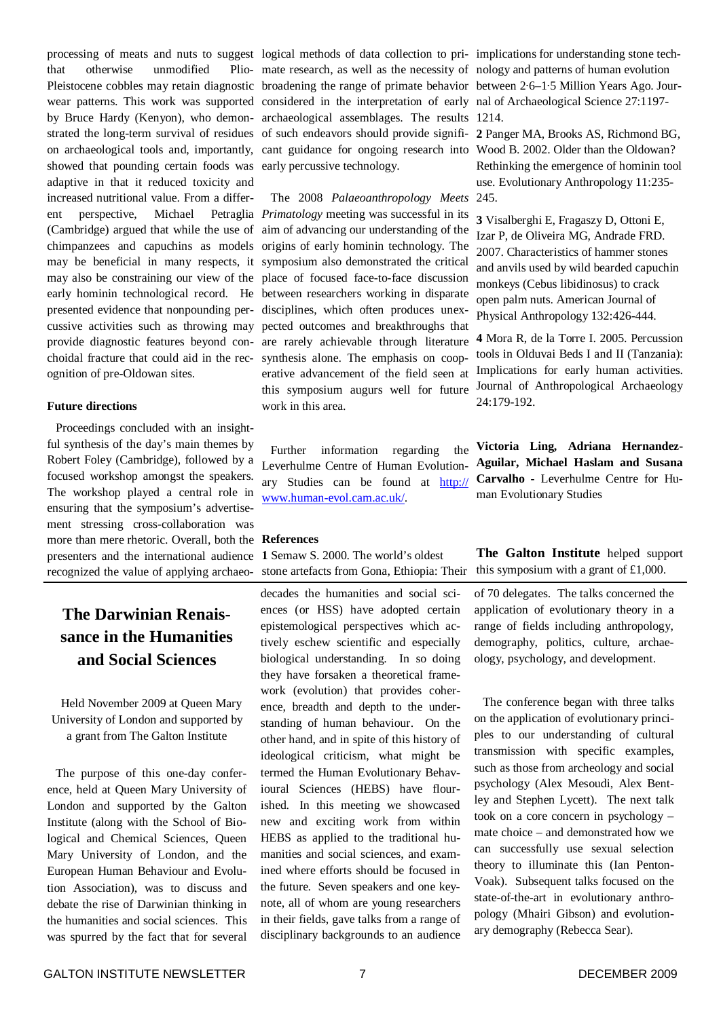processing of meats and nuts to suggest logical methods of data collection to pri-implications for understanding stone techthat otherwise unmodified Pleistocene cobbles may retain diagnostic broadening the range of primate behavior between 2.6–1.5 Million Years Ago. Jourwear patterns. This work was supported considered in the interpretation of early nal of Archaeological Science 27:1197 by Bruce Hardy (Kenyon), who demon-archaeological assemblages. The results 1214. strated the long-term survival of residues of such endeavors should provide signifi-**2** Panger MA, Brooks AS, Richmond BG, on archaeological tools and, importantly, cant guidance for ongoing research into Wood B. 2002. Older than the Oldowan? showed that pounding certain foods was early percussive technology. adaptive in that it reduced toxicity and increased nutritional value. From a different perspective, Michael (Cambridge) argued that while the use of aim of advancing our understanding of the chimpanzees and capuchins as models origins of early hominin technology. The may be beneficial in many respects, it symposium also demonstrated the critical may also be constraining our view of the place of focused face-to-face discussion early hominin technological record. He between researchers working in disparate presented evidence that nonpounding per-disciplines, which often produces unexcussive activities such as throwing may pected outcomes and breakthroughs that provide diagnostic features beyond con-are rarely achievable through literature choidal fracture that could aid in the rec-synthesis alone. The emphasis on coopognition of pre-Oldowan sites.

#### **Future directions**

Proceedings concluded with an insightful synthesis of the day's main themes by Robert Foley (Cambridge), followed by a focused workshop amongst the speakers. The workshop played a central role in ensuring that the symposium's advertisement stressing cross-collaboration was more than mere rhetoric. Overall, both the **References** presenters and the international audience recognized the value of applying archaeo-

# **The Darwinian Renaissance in the Humanities and Social Sciences**

Held November 2009 at Queen Mary University of London and supported by a grant from The Galton Institute

The purpose of this one-day conference, held at Queen Mary University of London and supported by the Galton Institute (along with the School of Biological and Chemical Sciences, Queen Mary University of London, and the European Human Behaviour and Evolution Association), was to discuss and debate the rise of Darwinian thinking in the humanities and social sciences. This was spurred by the fact that for several mate research, as well as the necessity of nology and patterns of human evolution

The 2008 *Palaeoanthropology Meets* 245. *Primatology* meeting was successful in its erative advancement of the field seen at this symposium augurs well for future work in this area.

> Further information regarding the Leverhulme Centre of Human Evolutionary Studies can be found at http:// www.human-evol.cam.ac.uk/.

**1** Semaw S. 2000. The world's oldest stone artefacts from Gona, Ethiopia: Their

decades the humanities and social sciences (or HSS) have adopted certain epistemological perspectives which actively eschew scientific and especially biological understanding. In so doing they have forsaken a theoretical framework (evolution) that provides coherence, breadth and depth to the understanding of human behaviour. On the other hand, and in spite of this history of ideological criticism, what might be termed the Human Evolutionary Behavioural Sciences (HEBS) have flourished. In this meeting we showcased new and exciting work from within HEBS as applied to the traditional humanities and social sciences, and examined where efforts should be focused in the future. Seven speakers and one keynote, all of whom are young researchers in their fields, gave talks from a range of disciplinary backgrounds to an audience

Rethinking the emergence of hominin tool use. Evolutionary Anthropology 11:235-

**3** Visalberghi E, Fragaszy D, Ottoni E, Izar P, de Oliveira MG, Andrade FRD. 2007. Characteristics of hammer stones and anvils used by wild bearded capuchin monkeys (Cebus libidinosus) to crack open palm nuts. American Journal of Physical Anthropology 132:426-444.

**4** Mora R, de la Torre I. 2005. Percussion tools in Olduvai Beds I and II (Tanzania): Implications for early human activities. Journal of Anthropological Archaeology 24:179-192.

**Victoria Ling, Adriana Hernandez-Aguilar, Michael Haslam and Susana Carvalho -** Leverhulme Centre for Human Evolutionary Studies

**The Galton Institute** helped support this symposium with a grant of £1,000.

of 70 delegates. The talks concerned the application of evolutionary theory in a range of fields including anthropology, demography, politics, culture, archaeology, psychology, and development.

The conference began with three talks on the application of evolutionary principles to our understanding of cultural transmission with specific examples, such as those from archeology and social psychology (Alex Mesoudi, Alex Bentley and Stephen Lycett). The next talk took on a core concern in psychology – mate choice – and demonstrated how we can successfully use sexual selection theory to illuminate this (Ian Penton-Voak). Subsequent talks focused on the state-of-the-art in evolutionary anthropology (Mhairi Gibson) and evolutionary demography (Rebecca Sear).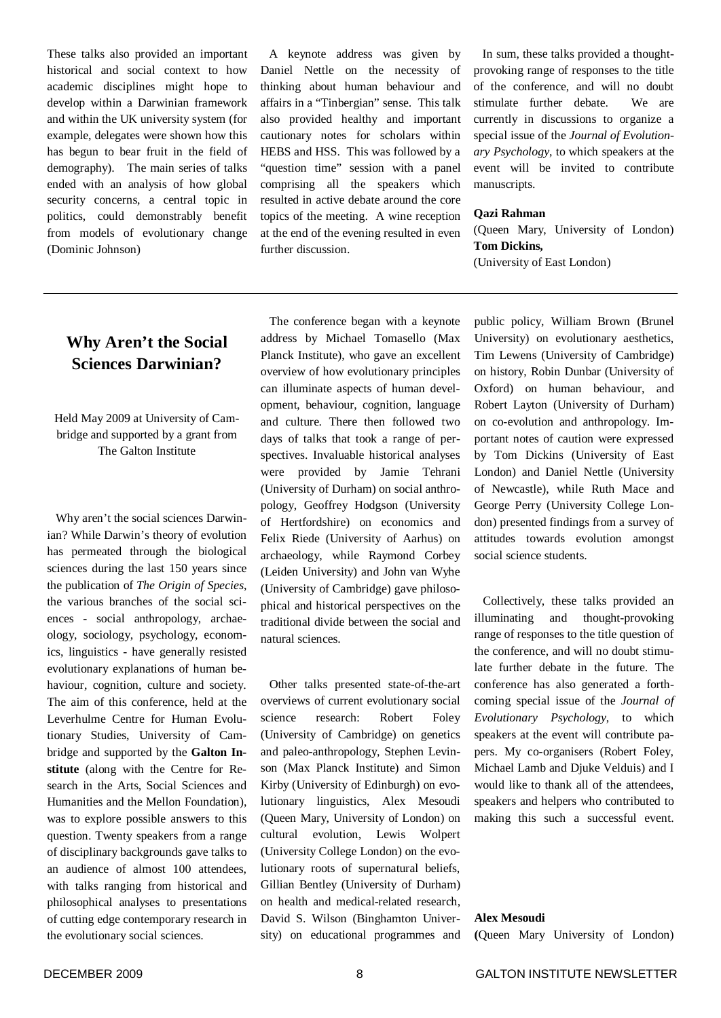These talks also provided an important historical and social context to how academic disciplines might hope to develop within a Darwinian framework and within the UK university system (for example, delegates were shown how this has begun to bear fruit in the field of demography). The main series of talks ended with an analysis of how global security concerns, a central topic in politics, could demonstrably benefit from models of evolutionary change (Dominic Johnson)

A keynote address was given by Daniel Nettle on the necessity of thinking about human behaviour and affairs in a "Tinbergian" sense. This talk also provided healthy and important cautionary notes for scholars within HEBS and HSS. This was followed by a "question time" session with a panel comprising all the speakers which resulted in active debate around the core topics of the meeting. A wine reception at the end of the evening resulted in even further discussion.

In sum, these talks provided a thoughtprovoking range of responses to the title of the conference, and will no doubt stimulate further debate. We are currently in discussions to organize a special issue of the *Journal of Evolutionary Psychology*, to which speakers at the event will be invited to contribute manuscripts.

#### **Qazi Rahman**

(Queen Mary, University of London) **Tom Dickins,** (University of East London)

# **Why Aren't the Social Sciences Darwinian?**

#### Held May 2009 at University of Cambridge and supported by a grant from The Galton Institute

Why aren't the social sciences Darwinian? While Darwin's theory of evolution has permeated through the biological sciences during the last 150 years since the publication of *The Origin of Species*, the various branches of the social sciences - social anthropology, archaeology, sociology, psychology, economics, linguistics - have generally resisted evolutionary explanations of human behaviour, cognition, culture and society. The aim of this conference, held at the Leverhulme Centre for Human Evolutionary Studies, University of Cambridge and supported by the **Galton Institute** (along with the Centre for Research in the Arts, Social Sciences and Humanities and the Mellon Foundation), was to explore possible answers to this question. Twenty speakers from a range of disciplinary backgrounds gave talks to an audience of almost 100 attendees, with talks ranging from historical and philosophical analyses to presentations of cutting edge contemporary research in the evolutionary social sciences.

The conference began with a keynote address by Michael Tomasello (Max Planck Institute), who gave an excellent overview of how evolutionary principles can illuminate aspects of human development, behaviour, cognition, language and culture. There then followed two days of talks that took a range of perspectives. Invaluable historical analyses were provided by Jamie Tehrani (University of Durham) on social anthropology, Geoffrey Hodgson (University of Hertfordshire) on economics and Felix Riede (University of Aarhus) on archaeology, while Raymond Corbey (Leiden University) and John van Wyhe (University of Cambridge) gave philosophical and historical perspectives on the traditional divide between the social and natural sciences.

Other talks presented state-of-the-art overviews of current evolutionary social science research: Robert Foley (University of Cambridge) on genetics and paleo-anthropology, Stephen Levinson (Max Planck Institute) and Simon Kirby (University of Edinburgh) on evolutionary linguistics, Alex Mesoudi (Queen Mary, University of London) on cultural evolution, Lewis Wolpert (University College London) on the evolutionary roots of supernatural beliefs, Gillian Bentley (University of Durham) on health and medical-related research, David S. Wilson (Binghamton University) on educational programmes and

public policy, William Brown (Brunel University) on evolutionary aesthetics, Tim Lewens (University of Cambridge) on history, Robin Dunbar (University of Oxford) on human behaviour, and Robert Layton (University of Durham) on co-evolution and anthropology. Important notes of caution were expressed by Tom Dickins (University of East London) and Daniel Nettle (University of Newcastle), while Ruth Mace and George Perry (University College London) presented findings from a survey of attitudes towards evolution amongst social science students.

Collectively, these talks provided an illuminating and thought-provoking range of responses to the title question of the conference, and will no doubt stimulate further debate in the future. The conference has also generated a forthcoming special issue of the *Journal of Evolutionary Psychology*, to which speakers at the event will contribute papers. My co-organisers (Robert Foley, Michael Lamb and Djuke Velduis) and I would like to thank all of the attendees, speakers and helpers who contributed to making this such a successful event.

#### **Alex Mesoudi**

**(**Queen Mary University of London)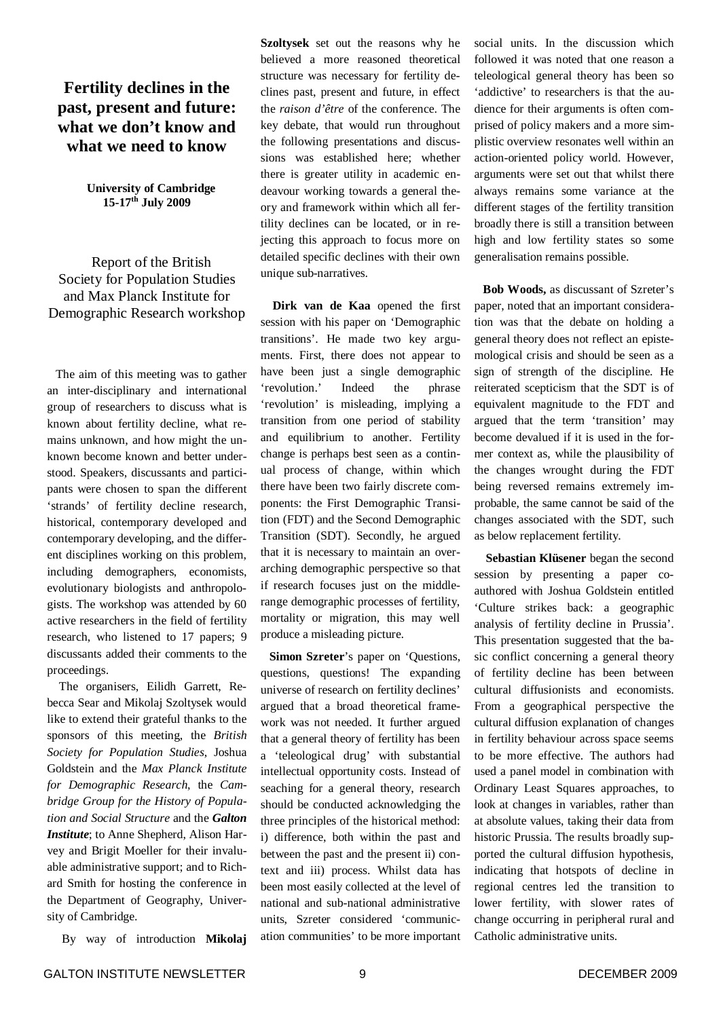# **Fertility declines in the past, present and future: what we don't know and what we need to know**

**University of Cambridge 15-17 th July 2009**

Report of the British Society for Population Studies and Max Planck Institute for Demographic Research workshop

The aim of this meeting was to gather an inter-disciplinary and international group of researchers to discuss what is known about fertility decline, what remains unknown, and how might the unknown become known and better understood. Speakers, discussants and participants were chosen to span the different 'strands' of fertility decline research, historical, contemporary developed and contemporary developing, and the different disciplines working on this problem, including demographers, economists, evolutionary biologists and anthropologists. The workshop was attended by 60 active researchers in the field of fertility research, who listened to 17 papers; 9 discussants added their comments to the proceedings.

The organisers, Eilidh Garrett, Rebecca Sear and Mikolaj Szoltysek would like to extend their grateful thanks to the sponsors of this meeting, the *British Society for Population Studies*, Joshua Goldstein and the *Max Planck Institute for Demographic Research*, the *Cambridge Group for the History of Population and Social Structure* and the *Galton Institute*; to Anne Shepherd, Alison Harvey and Brigit Moeller for their invaluable administrative support; and to Richard Smith for hosting the conference in the Department of Geography, University of Cambridge.

By way of introduction **Mikolaj**

**Szoltysek** set out the reasons why he believed a more reasoned theoretical structure was necessary for fertility declines past, present and future, in effect the *raison d'être* of the conference. The key debate, that would run throughout the following presentations and discussions was established here; whether there is greater utility in academic endeavour working towards a general theory and framework within which all fertility declines can be located, or in rejecting this approach to focus more on detailed specific declines with their own unique sub-narratives.

**Dirk van de Kaa** opened the first session with his paper on 'Demographic transitions'. He made two key arguments. First, there does not appear to have been just a single demographic 'revolution.' Indeed the phrase 'revolution' is misleading, implying a transition from one period of stability and equilibrium to another. Fertility change is perhaps best seen as a continual process of change, within which there have been two fairly discrete components: the First Demographic Transition (FDT) and the Second Demographic Transition (SDT). Secondly, he argued that it is necessary to maintain an overarching demographic perspective so that if research focuses just on the middlerange demographic processes of fertility, mortality or migration, this may well produce a misleading picture.

**Simon Szreter**'s paper on 'Questions, questions, questions! The expanding universe of research on fertility declines' argued that a broad theoretical framework was not needed. It further argued that a general theory of fertility has been a 'teleological drug' with substantial intellectual opportunity costs. Instead of seaching for a general theory, research should be conducted acknowledging the three principles of the historical method: i) difference, both within the past and between the past and the present ii) context and iii) process. Whilst data has been most easily collected at the level of national and sub-national administrative units, Szreter considered 'communication communities' to be more important

social units. In the discussion which followed it was noted that one reason a teleological general theory has been so 'addictive' to researchers is that the audience for their arguments is often comprised of policy makers and a more simplistic overview resonates well within an action-oriented policy world. However, arguments were set out that whilst there always remains some variance at the different stages of the fertility transition broadly there is still a transition between high and low fertility states so some generalisation remains possible.

**Bob Woods,** as discussant of Szreter's paper, noted that an important consideration was that the debate on holding a general theory does not reflect an epistemological crisis and should be seen as a sign of strength of the discipline. He reiterated scepticism that the SDT is of equivalent magnitude to the FDT and argued that the term 'transition' may become devalued if it is used in the former context as, while the plausibility of the changes wrought during the FDT being reversed remains extremely improbable, the same cannot be said of the changes associated with the SDT, such as below replacement fertility.

**Sebastian Klüsener** began the second session by presenting a paper coauthored with Joshua Goldstein entitled 'Culture strikes back: a geographic analysis of fertility decline in Prussia'. This presentation suggested that the basic conflict concerning a general theory of fertility decline has been between cultural diffusionists and economists. From a geographical perspective the cultural diffusion explanation of changes in fertility behaviour across space seems to be more effective. The authors had used a panel model in combination with Ordinary Least Squares approaches, to look at changes in variables, rather than at absolute values, taking their data from historic Prussia. The results broadly supported the cultural diffusion hypothesis, indicating that hotspots of decline in regional centres led the transition to lower fertility, with slower rates of change occurring in peripheral rural and Catholic administrative units.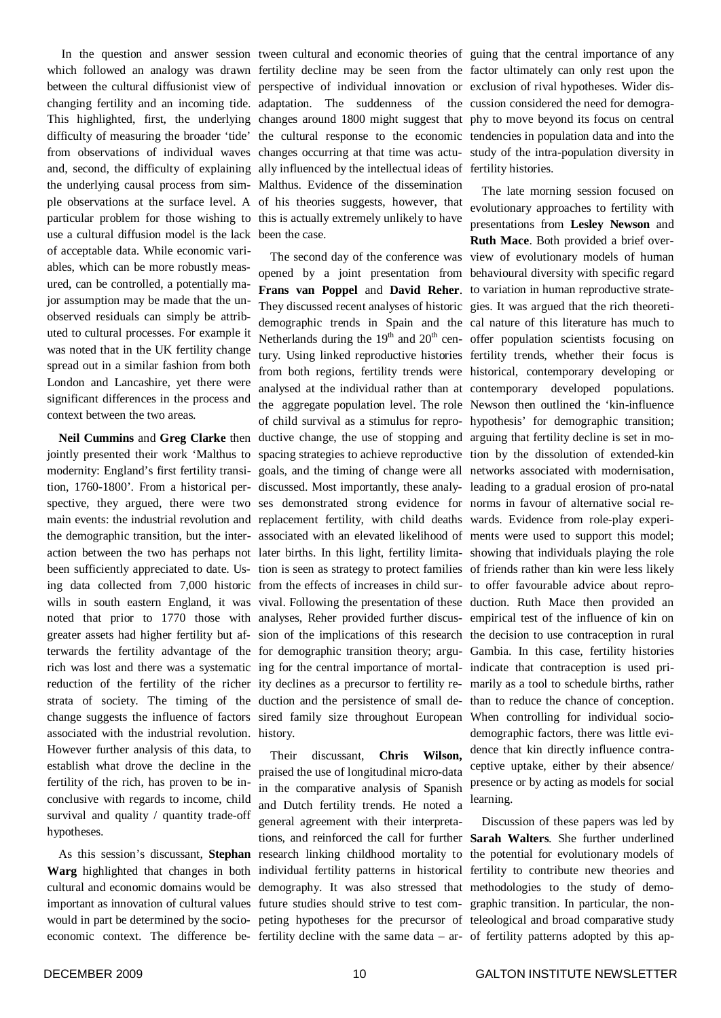difficulty of measuring the broader 'tide' and, second, the difficulty of explaining the underlying causal process from sim-Malthus. Evidence of the dissemination ple observations at the surface level. A of his theories suggests, however, that particular problem for those wishing to this is actually extremely unlikely to have use a cultural diffusion model is the lack been the case. of acceptable data. While economic variables, which can be more robustly measured, can be controlled, a potentially major assumption may be made that the unobserved residuals can simply be attributed to cultural processes. For example it was noted that in the UK fertility change spread out in a similar fashion from both London and Lancashire, yet there were significant differences in the process and context between the two areas.

**Neil Cummins** and **Greg Clarke** then jointly presented their work 'Malthus to modernity: England's first fertility transition, 1760-1800'. From a historical perspective, they argued, there were two main events: the industrial revolution and the demographic transition, but the interchange suggests the influence of factors associated with the industrial revolution. However further analysis of this data, to establish what drove the decline in the fertility of the rich, has proven to be inconclusive with regards to income, child survival and quality / quantity trade-off hypotheses.

As this session's discussant, **Stephan Warg** highlighted that changes in both cultural and economic domains would be would in part be determined by the socio-

In the question and answer session tween cultural and economic theories of guing that the central importance of any which followed an analogy was drawn fertility decline may be seen from the factor ultimately can only rest upon the between the cultural diffusionist view of perspective of individual innovation or exclusion of rival hypotheses. Wider dischanging fertility and an incoming tide. adaptation. The suddenness of the cussion considered the need for demogra-This highlighted, first, the underlying changes around 1800 might suggest that phy to move beyond its focus on central from observations of individual waves changes occurring at that time was actu-study of the intra-population diversity in the cultural response to the economic tendencies in population data and into the ally influenced by the intellectual ideas of fertility histories.

action between the two has perhaps not later births. In this light, fertility limita-showing that individuals playing the role been sufficiently appreciated to date. Us- tion is seen as strategy to protect families of friends rather than kin were less likely ing data collected from 7,000 historic from the effects of increases in child sur- to offer favourable advice about reprowills in south eastern England, it was vival. Following the presentation of these duction. Ruth Mace then provided an noted that prior to 1770 those with analyses, Reher provided further discus-empirical test of the influence of kin on greater assets had higher fertility but af-sion of the implications of this research the decision to use contraception in rural terwards the fertility advantage of the for demographic transition theory; argu-Gambia. In this case, fertility histories rich was lost and there was a systematic ing for the central importance of mortal-indicate that contraception is used prireduction of the fertility of the richer ity declines as a precursor to fertility re-marily as a tool to schedule births, rather strata of society. The timing of the duction and the persistence of small de-than to reduce the chance of conception. opened by a joint presentation from behavioural diversity with specific regard **Frans van Poppel** and **David Reher**. to variation in human reproductive strate-They discussed recent analyses of historic gies. It was argued that the rich theoretidemographic trends in Spain and the cal nature of this literature has much to Netherlands during the  $19<sup>th</sup>$  and  $20<sup>th</sup>$  cen- offer population scientists focusing on tury. Using linked reproductive histories fertility trends, whether their focus is from both regions, fertility trends were historical, contemporary developing or analysed at the individual rather than at contemporary developed populations. the aggregate population level. The role Newson then outlined the 'kin-influence of child survival as a stimulus for repro-hypothesis' for demographic transition; ductive change, the use of stopping and arguing that fertility decline is set in mospacing strategies to achieve reproductive tion by the dissolution of extended-kin goals, and the timing of change were all networks associated with modernisation, discussed. Most importantly, these analy-leading to a gradual erosion of pro-natal ses demonstrated strong evidence for norms in favour of alternative social rereplacement fertility, with child deaths wards. Evidence from role-play experiassociated with an elevated likelihood of ments were used to support this model; sired family size throughout European When controlling for individual sociohistory.

important as innovation of cultural values future studies should strive to test com-graphic transition. In particular, the noneconomic context. The difference be-fertility decline with the same data – ar-of fertility patterns adopted by this ap-Their discussant, **Chris Wilson,** praised the use of longitudinal micro-data in the comparative analysis of Spanish and Dutch fertility trends. He noted a general agreement with their interpretations, and reinforced the call for further **Sarah Walters**. She further underlined research linking childhood mortality to individual fertility patterns in historical demography. It was also stressed that methodologies to the study of demopeting hypotheses for the precursor of teleological and broad comparative study

The second day of the conference was view of evolutionary models of human The late morning session focused on evolutionary approaches to fertility with presentations from **Lesley Newson** and **Ruth Mace**. Both provided a brief overdemographic factors, there was little evidence that kin directly influence contraceptive uptake, either by their absence/ presence or by acting as models for social learning.

> Discussion of these papers was led by the potential for evolutionary models of fertility to contribute new theories and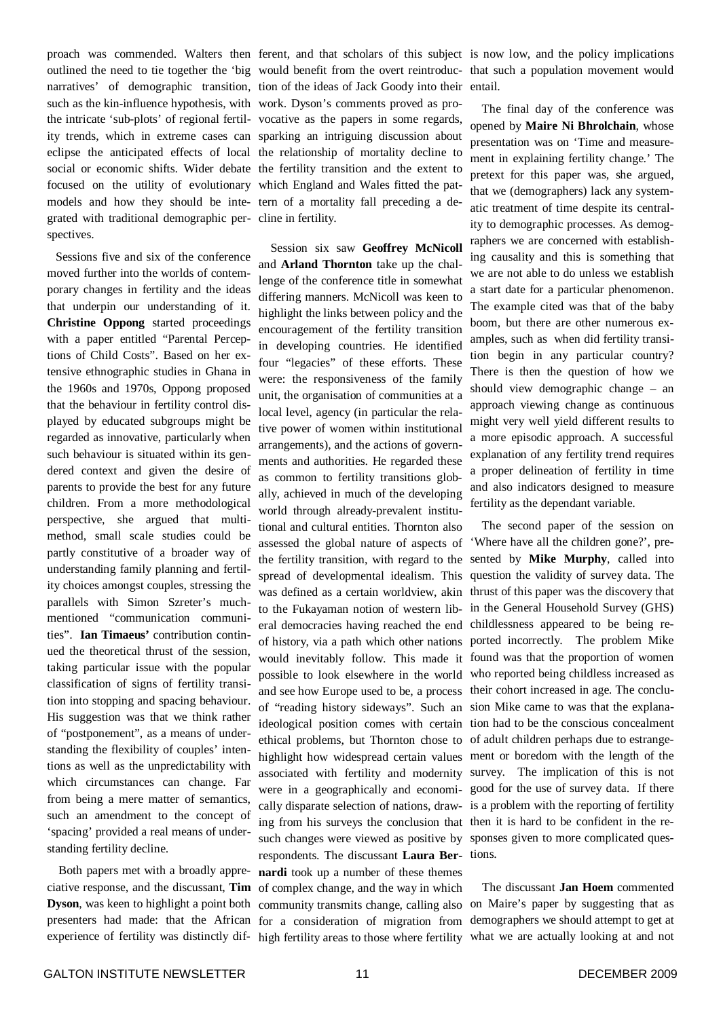proach was commended. Walters then ferent, and that scholars of this subject is now low, and the policy implications outlined the need to tie together the 'big would benefit from the overt reintroduc-that such a population movement would narratives' of demographic transition, tion of the ideas of Jack Goody into their entail. such as the kin-influence hypothesis, with work. Dyson's comments proved as prothe intricate 'sub-plots' of regional fertil-vocative as the papers in some regards, ity trends, which in extreme cases can sparking an intriguing discussion about eclipse the anticipated effects of local the relationship of mortality decline to social or economic shifts. Wider debate the fertility transition and the extent to focused on the utility of evolutionary which England and Wales fitted the patmodels and how they should be inte-tern of a mortality fall preceding a degrated with traditional demographic per-cline in fertility. spectives.

Sessions five and six of the conference moved further into the worlds of contemporary changes in fertility and the ideas that underpin our understanding of it. **Christine Oppong** started proceedings with a paper entitled "Parental Perceptions of Child Costs". Based on her extensive ethnographic studies in Ghana in the 1960s and 1970s, Oppong proposed that the behaviour in fertility control displayed by educated subgroups might be regarded as innovative, particularly when such behaviour is situated within its gendered context and given the desire of parents to provide the best for any future children. From a more methodological perspective, she argued that multimethod, small scale studies could be partly constitutive of a broader way of understanding family planning and fertility choices amongst couples, stressing the parallels with Simon Szreter's muchmentioned "communication communities". **Ian Timaeus'** contribution continued the theoretical thrust of the session, taking particular issue with the popular classification of signs of fertility transition into stopping and spacing behaviour. His suggestion was that we think rather of "postponement", as a means of understanding the flexibility of couples' intentions as well as the unpredictability with which circumstances can change. Far from being a mere matter of semantics, such an amendment to the concept of 'spacing' provided a real means of understanding fertility decline.

Both papers met with a broadly appreciative response, and the discussant, **Tim Dyson**, was keen to highlight a point both presenters had made: that the African experience of fertility was distinctly dif-

Session six saw **Geoffrey McNicoll** and **Arland Thornton** take up the challenge of the conference title in somewhat differing manners. McNicoll was keen to highlight the links between policy and the encouragement of the fertility transition in developing countries. He identified four "legacies" of these efforts. These were: the responsiveness of the family unit, the organisation of communities at a local level, agency (in particular the relative power of women within institutional arrangements), and the actions of governments and authorities. He regarded these as common to fertility transitions globally, achieved in much of the developing world through already-prevalent institutional and cultural entities. Thornton also assessed the global nature of aspects of the fertility transition, with regard to the spread of developmental idealism. This was defined as a certain worldview, akin thrust of this paper was the discovery that to the Fukayaman notion of western liberal democracies having reached the end childlessness appeared to be being reof history, via a path which other nations ported incorrectly. The problem Mike would inevitably follow. This made it found was that the proportion of women possible to look elsewhere in the world who reported being childless increased as and see how Europe used to be, a process their cohort increased in age. The concluof "reading history sideways". Such an sion Mike came to was that the explanaideological position comes with certain tion had to be the conscious concealment ethical problems, but Thornton chose to of adult children perhaps due to estrangehighlight how widespread certain values ment or boredom with the length of the associated with fertility and modernity survey. The implication of this is not were in a geographically and economi-good for the use of survey data. If there cally disparate selection of nations, draw-is a problem with the reporting of fertility ing from his surveys the conclusion that then it is hard to be confident in the resuch changes were viewed as positive by sponses given to more complicated quesrespondents. The discussant **Laura Ber-**tions. **nardi** took up a number of these themes of complex change, and the way in which community transmits change, calling also on Maire's paper by suggesting that as for a consideration of migration from demographers we should attempt to get at high fertility areas to those where fertility what we are actually looking at and not

The final day of the conference was opened by **Maire Ni Bhrolchain**, whose presentation was on 'Time and measurement in explaining fertility change.' The pretext for this paper was, she argued, that we (demographers) lack any systematic treatment of time despite its centrality to demographic processes. As demographers we are concerned with establishing causality and this is something that we are not able to do unless we establish a start date for a particular phenomenon. The example cited was that of the baby boom, but there are other numerous examples, such as when did fertility transition begin in any particular country? There is then the question of how we should view demographic change – an approach viewing change as continuous might very well yield different results to a more episodic approach. A successful explanation of any fertility trend requires a proper delineation of fertility in time and also indicators designed to measure fertility as the dependant variable.

The second paper of the session on 'Where have all the children gone?', presented by **Mike Murphy**, called into question the validity of survey data. The in the General Household Survey (GHS)

The discussant **Jan Hoem** commented